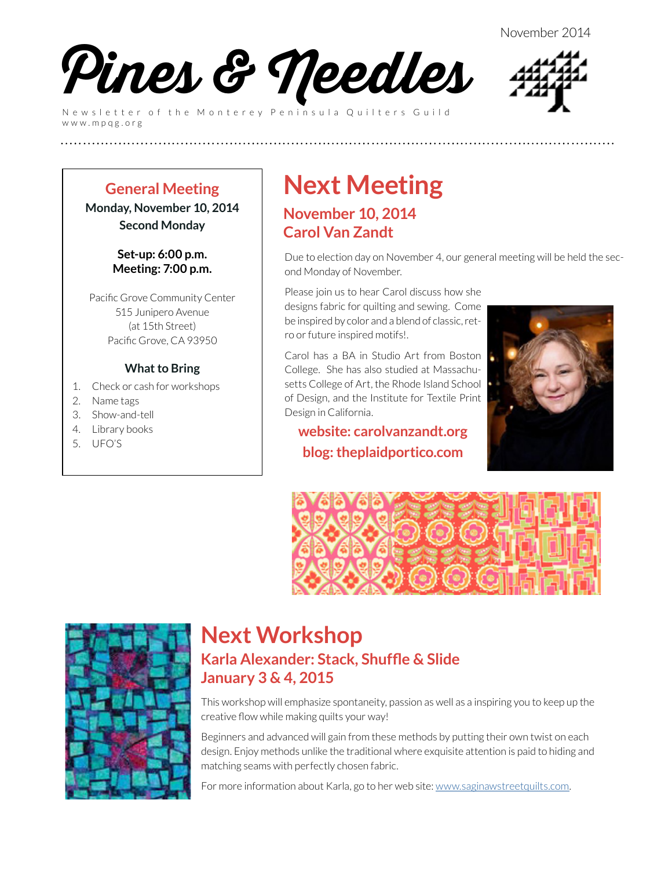November 2014



Newsletter of the Monterey Peninsula Quilters Guild www.mpqg.org



#### **General Meeting Monday, November 10, 2014**

**Second Monday**

**Set-up: 6:00 p.m. Meeting: 7:00 p.m.**

Pacific Grove Community Center 515 Junipero Avenue (at 15th Street) Pacific Grove, CA 93950

#### **What to Bring**

- 1. Check or cash for workshops
- 2. Name tags
- 3. Show-and-tell
- 4. Library books
- 5. UFO'S

# **Next Meeting**

### **November 10, 2014 Carol Van Zandt**

**(((((((((((((((((((((((((**

Due to election day on November 4, our general meeting will be held the second Monday of November.

Please join us to hear Carol discuss how she designs fabric for quilting and sewing. Come be inspired by color and a blend of classic, retro or future inspired motifs!.

Carol has a BA in Studio Art from Boston College. She has also studied at Massachusetts College of Art, the Rhode Island School of Design, and the Institute for Textile Print Design in California.

#### **website: [carolvanzandt.org](http://carolvanzandt.org) blog: [theplaidportico.com](http://theplaidportico.com)**







### **Next Workshop Karla Alexander: Stack, Shuffle & Slide January 3 & 4, 2015**

This workshop will emphasize spontaneity, passion as well as a inspiring you to keep up the creative flow while making quilts your way!

Beginners and advanced will gain from these methods by putting their own twist on each design. Enjoy methods unlike the traditional where exquisite attention is paid to hiding and matching seams with perfectly chosen fabric.

For more information about Karla, go to her web site: www.saginawstreetquilts.com.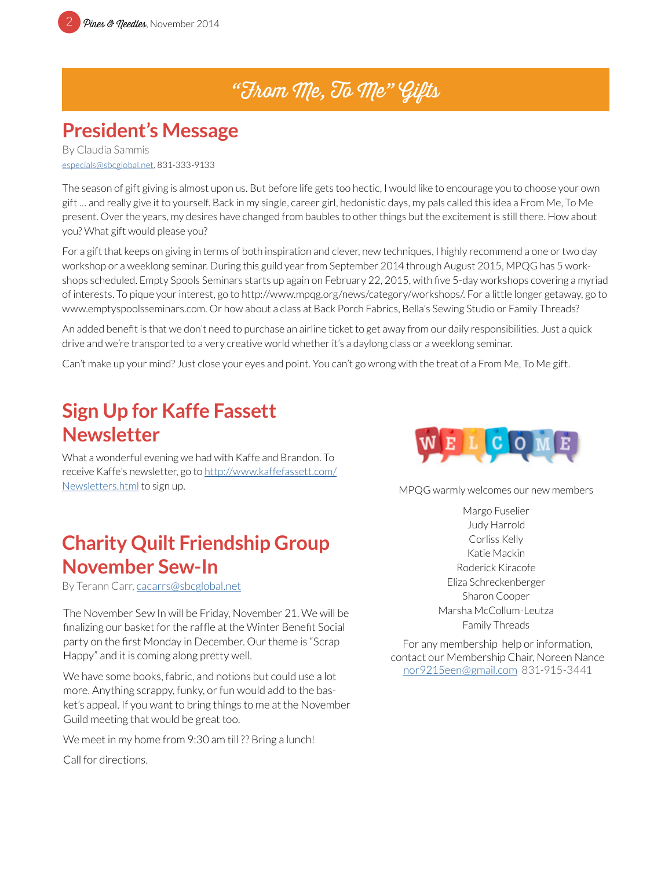## "From Me, To Me" Gifts

### **President's Message**

By Claudia Sammis [especials@sbcglobal.net](mailto:especials%40sbcglobal.net?subject=MPQG), 831-333-9133

The season of gift giving is almost upon us. But before life gets too hectic, I would like to encourage you to choose your own gift … and really give it to yourself. Back in my single, career girl, hedonistic days, my pals called this idea a From Me, To Me present. Over the years, my desires have changed from baubles to other things but the excitement is still there. How about you? What gift would please you?

For a gift that keeps on giving in terms of both inspiration and clever, new techniques, I highly recommend a one or two day workshop or a weeklong seminar. During this guild year from September 2014 through August 2015, MPQG has 5 workshops scheduled. Empty Spools Seminars starts up again on February 22, 2015, with five 5-day workshops covering a myriad of interests. To pique your interest, go to http://www.mpqg.org/news/category/workshops/. For a little longer getaway, go to www.emptyspoolsseminars.com. Or how about a class at Back Porch Fabrics, Bella's Sewing Studio or Family Threads?

An added benefit is that we don't need to purchase an airline ticket to get away from our daily responsibilities. Just a quick drive and we're transported to a very creative world whether it's a daylong class or a weeklong seminar.

Can't make up your mind? Just close your eyes and point. You can't go wrong with the treat of a From Me, To Me gift.

### **Sign Up for Kaffe Fassett Newsletter**

What a wonderful evening we had with Kaffe and Brandon. To receive Kaffe's newsletter, go to [http://www.kaffefassett.com/](http://www.kaffefassett.com/Newsletters.html) [Newsletters.html](http://www.kaffefassett.com/Newsletters.html) to sign up.

### **Charity Quilt Friendship Group November Sew-In**

By Terann Carr, [cacarrs@sbcglobal.net](mailto:cacarrs%40sbcglobal.net?subject=MPQG%20Heart%20Pillows)

The November Sew In will be Friday, November 21. We will be finalizing our basket for the raffle at the Winter Benefit Social party on the first Monday in December. Our theme is "Scrap Happy" and it is coming along pretty well.

We have some books, fabric, and notions but could use a lot more. Anything scrappy, funky, or fun would add to the basket's appeal. If you want to bring things to me at the November Guild meeting that would be great too.

We meet in my home from 9:30 am till ?? Bring a lunch!

Call for directions.



MPQG warmly welcomes our new members

Margo Fuselier Judy Harrold Corliss Kelly Katie Mackin Roderick Kiracofe Eliza Schreckenberger Sharon Cooper Marsha McCollum-Leutza Family Threads

For any membership help or information, contact our Membership Chair, Noreen Nance [nor9215een@gmail.com](mailto:nor9215een%40gmail.com?subject=MPQG%20Membership) 831-915-3441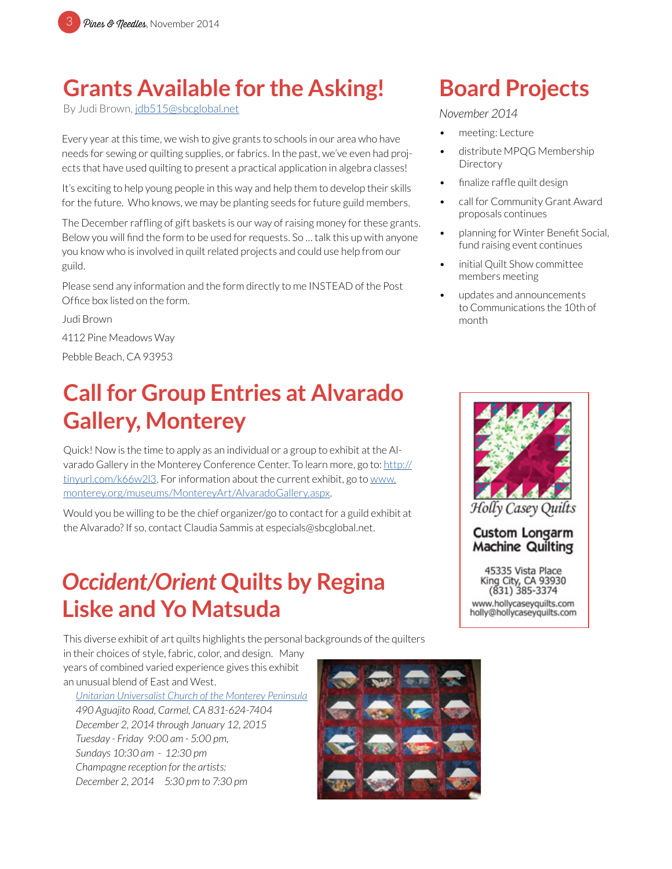## **Grants Available for the Asking!**

By Judi Brown, [jdb515@sbcglobal.net](mailto:jdb515%40sbcglobal.net?subject=MPQG%20Grant)

Every year at this time, we wish to give grants to schools in our area who have needs for sewing or quilting supplies, or fabrics. In the past, we've even had projects that have used quilting to present a practical application in algebra classes!

It's exciting to help young people in this way and help them to develop their skills for the future. Who knows, we may be planting seeds for future guild members.

The December raffling of gift baskets is our way of raising money for these grants. Below you will find the form to be used for requests. So … talk this up with anyone you know who is involved in quilt related projects and could use help from our guild.

Please send any information and the form directly to me INSTEAD of the Post Office box listed on the form.

Judi Brown 4112 Pine Meadows Way Pebble Beach, CA 93953

## **Call for Group Entries at Alvarado Gallery, Monterey**

Quick! Now is the time to apply as an individual or a group to exhibit at the Alvarado Gallery in the Monterey Conference Center. To learn more, go to: [http://](mailto:http://tinyurl.com/k66w2l3?subject=Alvarado%20Gallery) [tinyurl.com/k66w2l3](mailto:http://tinyurl.com/k66w2l3?subject=Alvarado%20Gallery). For information about the current exhibit, go to [www.](mailto:www.monterey.org/museums/MontereyArt/AlvaradoGallery.aspx?subject=Monterey%20Conference%20Center) [monterey.org/museums/MontereyArt/AlvaradoGallery.aspx.](mailto:www.monterey.org/museums/MontereyArt/AlvaradoGallery.aspx?subject=Monterey%20Conference%20Center)

Would you be willing to be the chief organizer/go to contact for a guild exhibit at the Alvarado? If so, contact Claudia Sammis at especials@sbcglobal.net.

### *Occident/Orient* **Quilts by Regina Liske and Yo Matsuda**

This diverse exhibit of art quilts highlights the personal backgrounds of the quilters in their choices of style, fabric, color, and design. Many

years of combined varied experience gives this exhibit an unusual blend of East and West.

*[Unitarian Universalist Church of the Monterey Peninsula](http://www.uucmp.org/) 490 Aguajito Road, Carmel, CA 831-624-7404 December 2, 2014 through January 12, 2015 Tuesday - Friday 9:00 am - 5:00 pm, Sundays 10:30 am - 12:30 pm Champagne reception for the artists: December 2, 2014 5:30 pm to 7:30 pm*



month

meeting: Lecture

**Directory** 

*November 2014*

• distribute MPQG Membership

call for Community Grant Award

• planning for Winter Benefit Social, fund raising event continues initial Quilt Show committee

> • updates and announcements to Communications the 10th of

finalize raffle quilt design

**Board Projects**

proposals continues

members meeting



**Custom Longarm** 

**Machine Quilting** 45335 Vista Place King City, CA 93930  $(831)$  385-3374

www.hollycaseyquilts.com holly@hollycaseyquilts.com

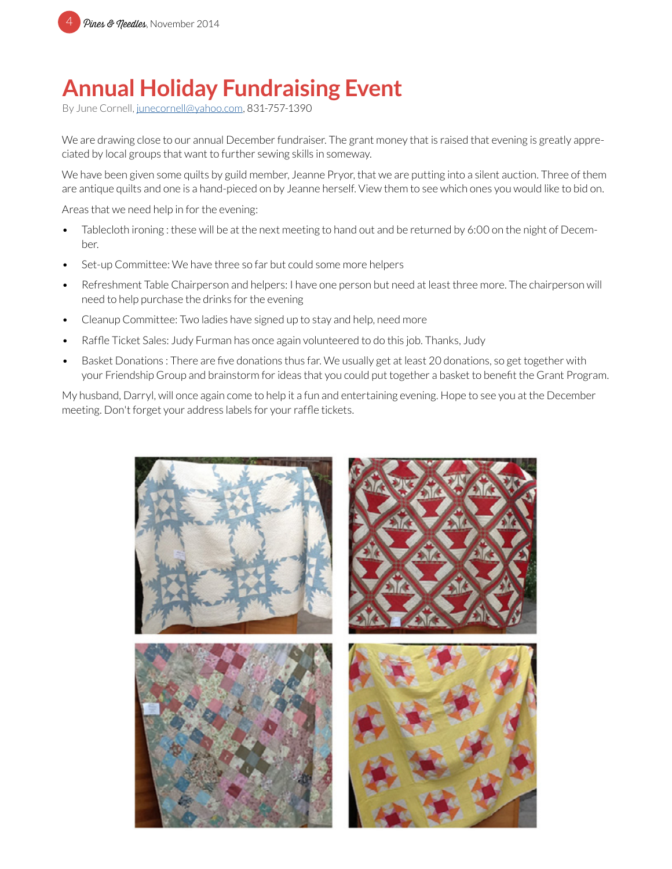

## **Annual Holiday Fundraising Event**

By June Cornell, [junecornell@yahoo.com](mailto:junecornell%40yahoo.com?subject=MPQG%20Holiday%20Fundraising%20Event), 831-757-1390

We are drawing close to our annual December fundraiser. The grant money that is raised that evening is greatly appreciated by local groups that want to further sewing skills in someway.

We have been given some quilts by guild member, Jeanne Pryor, that we are putting into a silent auction. Three of them are antique quilts and one is a hand-pieced on by Jeanne herself. View them to see which ones you would like to bid on.

Areas that we need help in for the evening:

- Tablecloth ironing : these will be at the next meeting to hand out and be returned by 6:00 on the night of December.
- Set-up Committee: We have three so far but could some more helpers
- Refreshment Table Chairperson and helpers: I have one person but need at least three more. The chairperson will need to help purchase the drinks for the evening
- Cleanup Committee: Two ladies have signed up to stay and help, need more
- Raffle Ticket Sales: Judy Furman has once again volunteered to do this job. Thanks, Judy
- Basket Donations : There are five donations thus far. We usually get at least 20 donations, so get together with your Friendship Group and brainstorm for ideas that you could put together a basket to benefit the Grant Program.

My husband, Darryl, will once again come to help it a fun and entertaining evening. Hope to see you at the December meeting. Don't forget your address labels for your raffle tickets.

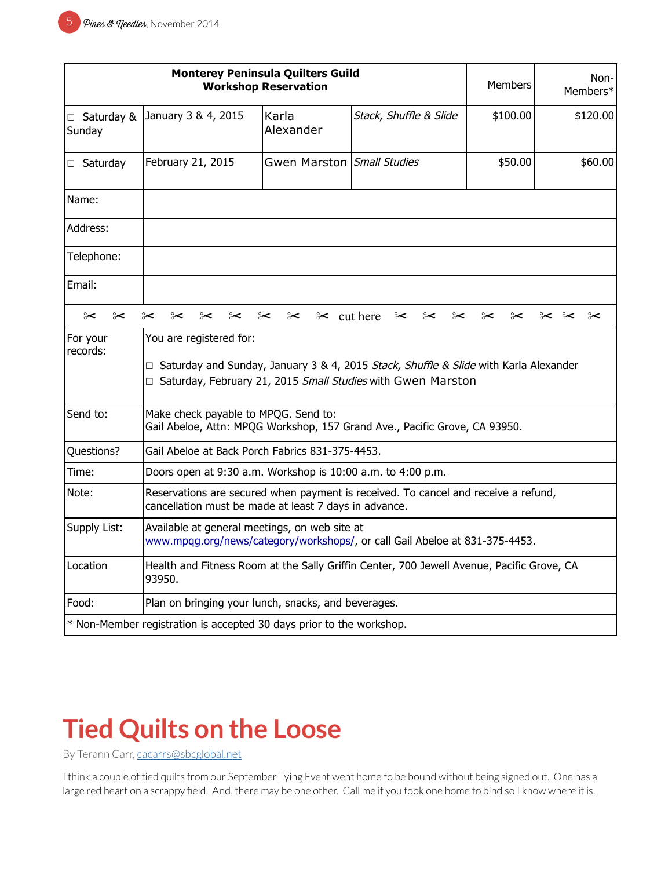| <b>Monterey Peninsula Quilters Guild</b><br><b>Workshop Reservation</b> |                                                                                                                                                                                         |                                 |                        | Members        | Non-<br>Members*                 |
|-------------------------------------------------------------------------|-----------------------------------------------------------------------------------------------------------------------------------------------------------------------------------------|---------------------------------|------------------------|----------------|----------------------------------|
| $\Box$ Saturday &<br>Sunday                                             | January 3 & 4, 2015                                                                                                                                                                     | Karla<br>Alexander              | Stack, Shuffle & Slide | \$100.00       | \$120.00                         |
| $\Box$ Saturday                                                         | February 21, 2015                                                                                                                                                                       | Gwen Marston Small Studies      |                        | \$50.00        | \$60.00                          |
| Name:                                                                   |                                                                                                                                                                                         |                                 |                        |                |                                  |
| Address:                                                                |                                                                                                                                                                                         |                                 |                        |                |                                  |
| Telephone:                                                              |                                                                                                                                                                                         |                                 |                        |                |                                  |
| Email:                                                                  |                                                                                                                                                                                         |                                 |                        |                |                                  |
| ⊱<br>$\approx$                                                          | ⊱<br>$\approx$<br>$\approx$<br>$\approx$<br>⊱                                                                                                                                           | $\approx$ cut here<br>$\approx$ | ⊱<br>⊱<br>$\approx$    | $\approx$<br>⊱ | $\approx$<br>$\approx$ $\approx$ |
| For your<br>records:                                                    | You are registered for:<br>$\Box$ Saturday and Sunday, January 3 & 4, 2015 Stack, Shuffle & Slide with Karla Alexander<br>□ Saturday, February 21, 2015 Small Studies with Gwen Marston |                                 |                        |                |                                  |
| Send to:                                                                | Make check payable to MPQG. Send to:<br>Gail Abeloe, Attn: MPQG Workshop, 157 Grand Ave., Pacific Grove, CA 93950.                                                                      |                                 |                        |                |                                  |
| Questions?                                                              | Gail Abeloe at Back Porch Fabrics 831-375-4453.                                                                                                                                         |                                 |                        |                |                                  |
| Time:                                                                   | Doors open at 9:30 a.m. Workshop is 10:00 a.m. to 4:00 p.m.                                                                                                                             |                                 |                        |                |                                  |
| Note:                                                                   | Reservations are secured when payment is received. To cancel and receive a refund,<br>cancellation must be made at least 7 days in advance.                                             |                                 |                        |                |                                  |
| Supply List:                                                            | Available at general meetings, on web site at<br>www.mpqg.org/news/category/workshops/, or call Gail Abeloe at 831-375-4453.                                                            |                                 |                        |                |                                  |
| Location                                                                | Health and Fitness Room at the Sally Griffin Center, 700 Jewell Avenue, Pacific Grove, CA<br>93950.                                                                                     |                                 |                        |                |                                  |
| Food:                                                                   | Plan on bringing your lunch, snacks, and beverages.                                                                                                                                     |                                 |                        |                |                                  |
|                                                                         | * Non-Member registration is accepted 30 days prior to the workshop.                                                                                                                    |                                 |                        |                |                                  |

# **Tied Quilts on the Loose**

By Terann Carr, [cacarrs@sbcglobal.net](mailto:cacarrs%40sbcglobal.net?subject=MPQG%20Heart%20Pillows)

I think a couple of tied quilts from our September Tying Event went home to be bound without being signed out. One has a large red heart on a scrappy field. And, there may be one other. Call me if you took one home to bind so I know where it is.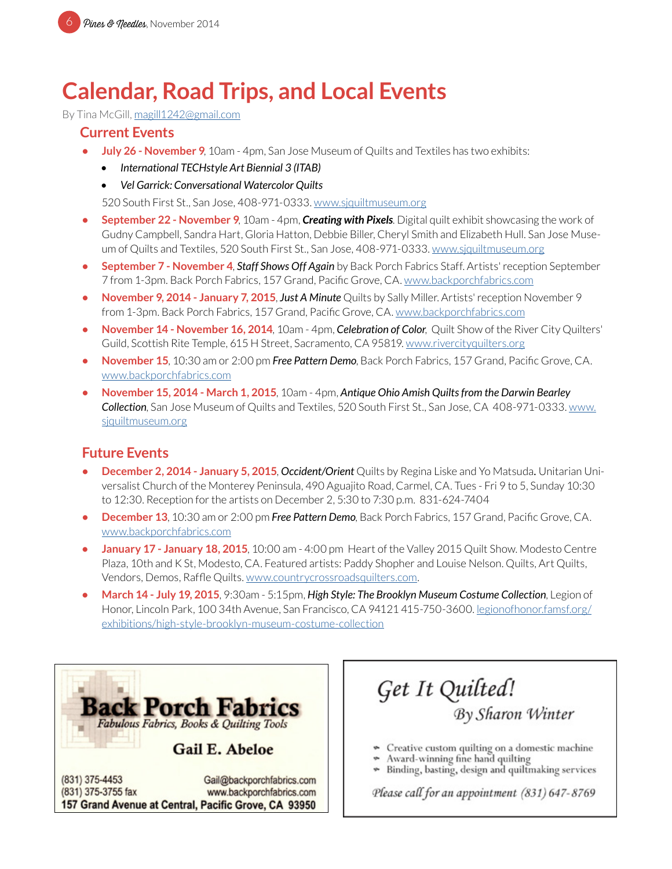### **Calendar, Road Trips, and Local Events**

By Tina McGill, [magill1242@gmail.com](mailto:magill1242%40gmail.com?subject=MPQG%20Calendar)

#### **Current Events**

- **• July 26 November 9**, 10am 4pm, San Jose Museum of Quilts and Textiles has two exhibits:
	- *• International TECHstyle Art Biennial 3 (ITAB)*
	- *• Vel Garrick: Conversational Watercolor Quilts*

520 South First St., San Jose, 408-971-0333. [www.sjquiltmuseum.or](http://www.sjquiltmuseum.org)g

- **• September 22 November 9**, 10am 4pm, *Creating with Pixels*. Digital quilt exhibit showcasing the work of Gudny Campbell, Sandra Hart, Gloria Hatton, Debbie Biller, Cheryl Smith and Elizabeth Hull. San Jose Museum of Quilts and Textiles, 520 South First St., San Jose, 408-971-0333. [www.sjquiltmuseum.or](http://www.sjquiltmuseum.org)g
- **• September 7 November 4**, *Staff Shows Off Again* by Back Porch Fabrics Staff. Artists' reception September 7 from 1-3pm. Back Porch Fabrics, 157 Grand, Pacific Grove, CA. [www.backporchfabrics.com](http://www.backporchfabrics.com)
- **• November 9, 2014 January 7, 2015**, *Just A Minute* Quilts by Sally Miller. Artists' reception November 9 from 1-3pm. Back Porch Fabrics, 157 Grand, Pacific Grove, CA. [www.backporchfabrics.com](http://www.backporchfabrics.com)
- **• November 14 November 16, 2014**, 10am 4pm, *Celebration of Color*, Quilt Show of the River City Quilters' Guild, Scottish Rite Temple, 615 H Street, Sacramento, CA 95819. www.rivercityquilters.org
- **• November 15**, 10:30 am or 2:00 pm *Free Pattern Demo*, Back Porch Fabrics, 157 Grand, Pacific Grove, CA. [www.backporchfabrics.com](http://www.backporchfabrics.com)
- **• November 15, 2014 March 1, 2015**, 10am 4pm, *Antique Ohio Amish Quilts from the Darwin Bearley Collection*, San Jose Museum of Quilts and Textiles, 520 South First St., San Jose, CA 408-971-0333. [www.](http://www.sjquiltmuseum.org) [sjquiltmuseum.or](http://www.sjquiltmuseum.org)g

#### **Future Events**

- **• December 2, 2014 January 5, 2015**, *Occident/Orient* Quilts by Regina Liske and Yo Matsuda*.* Unitarian Universalist Church of the Monterey Peninsula, 490 Aguajito Road, Carmel, CA. Tues - Fri 9 to 5, Sunday 10:30 to 12:30. Reception for the artists on December 2, 5:30 to 7:30 p.m. 831-624-7404
- **• December 13**, 10:30 am or 2:00 pm *Free Pattern Demo*, Back Porch Fabrics, 157 Grand, Pacific Grove, CA. [www.backporchfabrics.com](http://www.backporchfabrics.com)
- **• January 17 January 18, 2015**, 10:00 am 4:00 pm Heart of the Valley 2015 Quilt Show. Modesto Centre Plaza, 10th and K St, Modesto, CA. Featured artists: Paddy Shopher and Louise Nelson. Quilts, Art Quilts, Vendors, Demos, Raffle Quilts. [www.countrycrossroadsquilters.com](http://www.countrycrossroadsquilters.com).
- **• March 14 July 19, 2015**, 9:30am 5:15pm, *High Style: The Brooklyn Museum Costume Collection*, Legion of Honor, Lincoln Park, 100 34th Avenue, San Francisco, CA 94121 415-750-3600. l[egionofhonor.famsf.org/](http://legionofhonor.famsf.org/exhibitions/high-style-brooklyn-museum-costume-collection) [exhibitions/high-style-brooklyn-museum-costume-collection](http://legionofhonor.famsf.org/exhibitions/high-style-brooklyn-museum-costume-collection)



(831) 375-4453 Gail@backporchfabrics.com (831) 375-3755 fax www.backporchfabrics.com 157 Grand Avenue at Central, Pacific Grove, CA 93950

Get It Quilted! By Sharon Winter

- Creative custom quilting on a domestic machine
- Award-winning fine hand quilting
- Binding, basting, design and quiltmaking services ÷

Please call for an appointment (831) 647-8769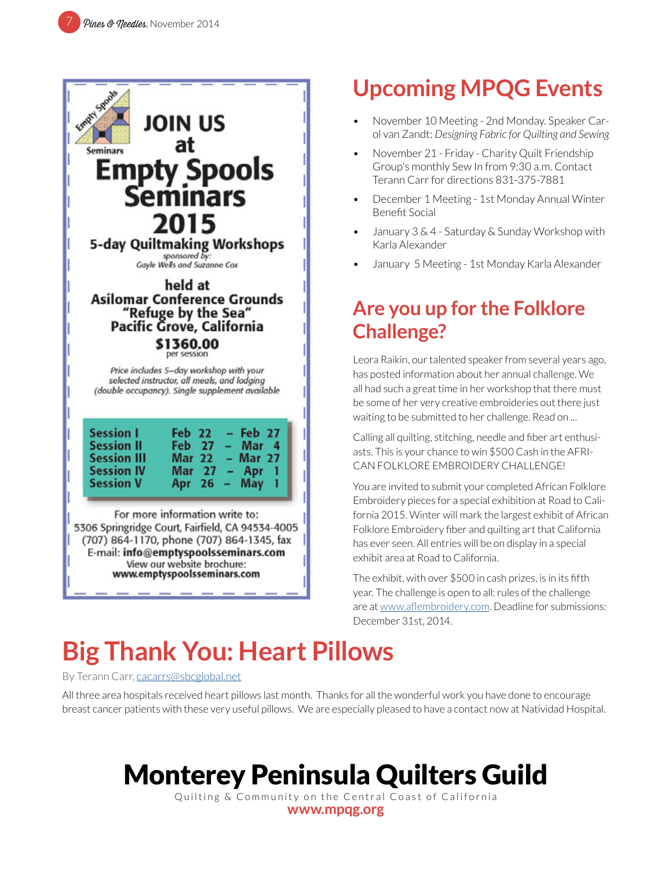

# **Upcoming MPQG Events**

- November 10 Meeting 2nd Monday. Speaker Carol van Zandt: *Designing Fabric for Quilting and Sewing*
- November 21 Friday Charity Quilt Friendship Group's monthly Sew In from 9:30 a.m. Contact Terann Carr for directions 831-375-7881
- December 1 Meeting 1st Monday Annual Winter Benefit Social
- January 3 & 4 Saturday & Sunday Workshop with Karla Alexander
- January 5 Meeting 1st Monday Karla Alexander

### **Are you up for the Folklore Challenge?**

Leora Raikin, our talented speaker from several years ago, has posted information about her annual challenge. We all had such a great time in her workshop that there must be some of her very creative embroideries out there just waiting to be submitted to her challenge. Read on ...

Calling all quilting, stitching, needle and fiber art enthusiasts. This is your chance to win \$500 Cash in the AFRI-CAN FOLKLORE EMBROIDERY CHALLENGE!

You are invited to submit your completed African Folklore Embroidery pieces for a special exhibition at Road to California 2015. Winter will mark the largest exhibit of African Folklore Embroidery fiber and quilting art that California has ever seen. All entries will be on display in a special exhibit area at Road to California.

The exhibit, with over \$500 in cash prizes, is in its fifth year. The challenge is open to all: rules of the challenge are at [www.aflembroidery.com](http://www.aflembroidery.com). Deadline for submissions: December 31st, 2014.

# **Big Thank You: Heart Pillows**

By Terann Carr, [cacarrs@sbcglobal.net](mailto:cacarrs%40sbcglobal.net?subject=MPQG%20Heart%20Pillows)

All three area hospitals received heart pillows last month. Thanks for all the wonderful work you have done to encourage breast cancer patients with these very useful pillows. We are especially pleased to have a contact now at Natividad Hospital.

# Monterey Peninsula Quilters Guild

Quilting & Community on the Central Coast of California **[www.mpqg.org](http://www.mpqg.org)**